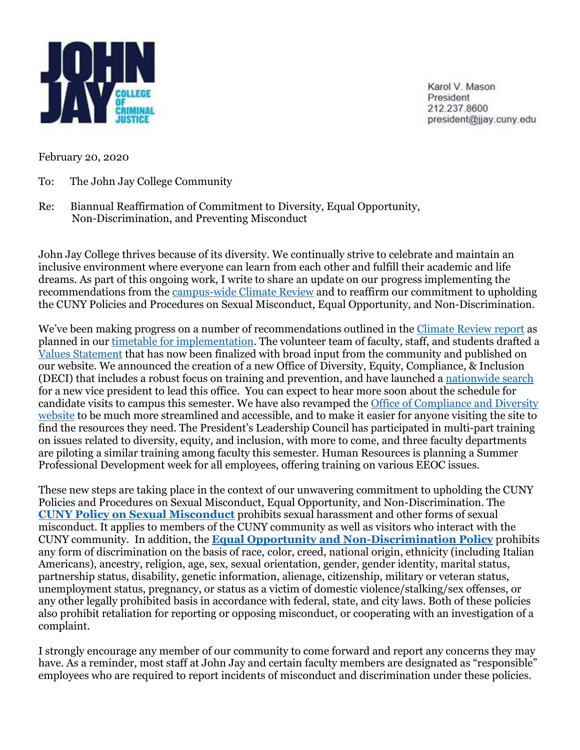

Karol V. Mason President 212 237 8600 president@jjay.cuny.edu

February 20, 2020

- To: The John Jay College Community
- Re: Biannual Reaffirmation of Commitment to Diversity, Equal Opportunity, Non-Discrimination, and Preventing Misconduct

John Jay College thrives because of its diversity. We continually strive to celebrate and maintain an inclusive environment where everyone can learn from each other and fulfill their academic and life dreams. As part of this ongoing work, I write to share an update on our progress implementing the recommendations from the [campus-wide Climate Review](http://www.jjay.cuny.edu/climate-review) and to reaffirm our commitment to upholding the CUNY Policies and Procedures on Sexual Misconduct, Equal Opportunity, and Non-Discrimination.

We've been making progress on a number of recommendations outlined in the [Climate Review report](http://www.jjay.cuny.edu/sites/default/files/compliance_diversity/Climate_Review_John_Jay_Report.pdf) as planned in our [timetable for implementation.](http://www.jjay.cuny.edu/sites/default/files/compliance_diversity/Climate-Review-Implementation-Plan.rev2.pdf) The volunteer team of faculty, staff, and students drafted a [Values Statement](https://www.jjay.cuny.edu/mission-statement) that has now been finalized with broad input from the community and published on our website. We announced the creation of a new Office of Diversity, Equity, Compliance, & Inclusion (DECI) that includes a robust focus on training and prevention, and have launched [a nationwide search](http://www.jjay.cuny.edu/sites/default/files/Leadership/position_profile_vp_of_diversity_eqity_compliance_inclusion.pdf) for a new vice president to lead this office. You can expect to hear more soon about the schedule for candidate visits to campus this semester. We have also revamped th[e Office of Compliance and Diversity](http://www.jjay.cuny.edu/preventing-harassment-and-discrimination-fostering-diversity-and-inclusion)  [website](http://www.jjay.cuny.edu/preventing-harassment-and-discrimination-fostering-diversity-and-inclusion) to be much more streamlined and accessible, and to make it easier for anyone visiting the site to find the resources they need. The President's Leadership Council has participated in multi-part training on issues related to diversity, equity, and inclusion, with more to come, and three faculty departments are piloting a similar training among faculty this semester. Human Resources is planning a Summer Professional Development week for all employees, offering training on various EEOC issues.

These new steps are taking place in the context of our unwavering commitment to upholding the CUNY Policies and Procedures on Sexual Misconduct, Equal Opportunity, and Non-Discrimination. The **[CUNY Policy on Sexual Misconduct](https://www.jjay.cuny.edu/sites/default/files/compliance_diversity/CUNY-Policy-on-Sexual-Misconduct.pdf)** prohibits sexual harassment and other forms of sexual misconduct. It applies to members of the CUNY community as well as visitors who interact with the CUNY community. In addition, the **[Equal Opportunity and Non-Discrimination Policy](https://www.jjay.cuny.edu/sites/default/files/compliance_diversity/Equal_Employment_Opportunity_Policy_CUNY.pdf)** prohibits any form of discrimination on the basis of race, color, creed, national origin, ethnicity (including Italian Americans), ancestry, religion, age, sex, sexual orientation, gender, gender identity, marital status, partnership status, disability, genetic information, alienage, citizenship, military or veteran status, unemployment status, pregnancy, or status as a victim of domestic violence/stalking/sex offenses, or any other legally prohibited basis in accordance with federal, state, and city laws. Both of these policies also prohibit retaliation for reporting or opposing misconduct, or cooperating with an investigation of a complaint.

I strongly encourage any member of our community to come forward and report any concerns they may have. As a reminder, most staff at John Jay and certain faculty members are designated as "responsible" employees who are required to report incidents of misconduct and discrimination under these policies.